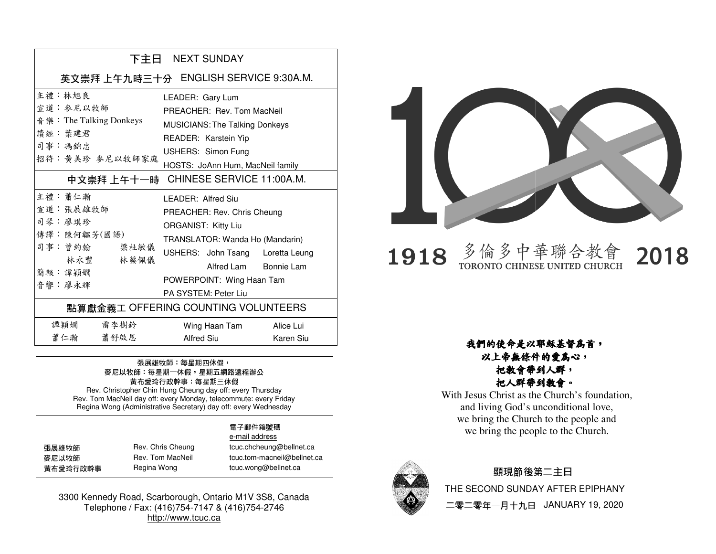| 下主日 NEXT SUNDAY                                                                                   |                                                                                                                                                                                                                                                                              |  |
|---------------------------------------------------------------------------------------------------|------------------------------------------------------------------------------------------------------------------------------------------------------------------------------------------------------------------------------------------------------------------------------|--|
| 英文崇拜 上午九時三十分 ENGLISH SERVICE 9:30A.M.                                                             |                                                                                                                                                                                                                                                                              |  |
| 主禮 : 林旭良<br>宣道 · 麥尼以牧師<br>音 樂: The Talking Donkeys<br>讀經:葉建君<br>司事:馮錦忠<br>招待:黃美珍 麥尼以牧師家庭          | LEADER: Gary Lum<br>PREACHER: Rev. Tom MacNeil<br><b>MUSICIANS: The Talking Donkeys</b><br>READER: Karstein Yip<br>USHERS: Simon Fung<br>HOSTS: JoAnn Hum, MacNeil family<br>中文崇拜上午十一時 CHINESE SERVICE 11:00A.M.                                                             |  |
| 主禮:蕭仁瀚<br>宣道 · 張展雄牧師<br>司琴 · 廖琪珍<br>傳譯:陳何韞芳(國語)<br>司事:曾約翰 梁杜敏儀<br>林永豐<br>林蔡佩儀<br>簡報:譚穎嫺<br>音響:廖永輝 | I FADFR: Alfred Siu<br>PREACHER: Rev. Chris Cheung<br><b>ORGANIST: Kitty Liu</b><br>TRANSLATOR: Wanda Ho (Mandarin)<br>USHERS: John Tsang Loretta Leung<br>Alfred Lam Bonnie Lam<br>POWERPOINT: Wing Haan Tam<br>PA SYSTEM: Peter Liu<br>點算獻金義工 OFFERING COUNTING VOLUNTEERS |  |
| 譚穎嫺<br>雷李樹鈴<br>蕭仁瀚<br>蕭舒啟恩                                                                        | Wing Haan Tam<br>Alice Lui<br>Alfred Siu<br>Karen Siu                                                                                                                                                                                                                        |  |

### 張展雄牧師: 每星期四休假, 麥尼以牧師:每星期一休假,星期五網路遠程辦公 黃布愛玲行政幹事:每星期三休假

Rev. Christopher Chin Hung Cheung day off: every Thursday Rev. Tom MacNeil day off: every Monday, telecommute: every Friday Regina Wong (Administrative Secretary) day off: every WednesdayRev. Christopher Chin Hung Cheung day off: every Thursday<br>Rev. Tom MacNeil day off: every Monday, telecommute: every Fr<br>Regina Wong (Administrative Secretary) day off: every Wedneso

### **電子**郵件箱號碼電子

| 張展雄牧師    | Rev. Chris Cheung | tcuc.chcheung@bellnet.ca    |
|----------|-------------------|-----------------------------|
| 麥尼以牧師    | Rev. Tom MacNeil  | tcuc.tom-macneil@bellnet.ca |
| 黃布愛玲行政幹事 | Regina Wong       | tcuc.wong@bellnet.ca        |

 e-mail addresstcuc.wong@bellnet.ca

3300 Kennedy Road, Scarborough, Ontario M1V 3S8, Canada Telephone / Fax: (416)754-7147 & (416)754-2746http://www.tcuc.ca



#### 多倫多中華聯合教會<br>roronro chinese unired church 2018 1918

### 以上帝無條件的愛為心, 把教會帶到人群,把人群帶到教會。

M1V Canada 2746我們的使命是以耶穌基督為首, With Jesus Christ as the Church's foundation, and living God's unconditional love, we bring the Church to the people and we bring the people to the Church.



### 顯現節後第二主日 THE SECOND SUNDAY AFTER EPIPHANY THE SECOND SUNDAY AFTER EPIPHANY<br>二零二零年一月十九日 JANUARY 19, 2020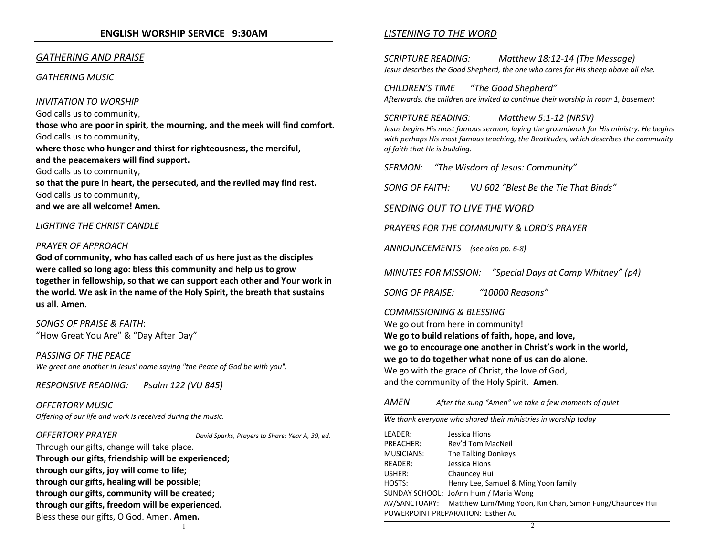#### GATHERING AND PRAISE

#### GATHERING MUSIC

#### INVITATION TO WORSHIP

God calls us to community,

those who are poor in spirit, the mourning, and the meek will find comfort.God calls us to community,

where those who hunger and thirst for righteousness, the merciful, and the peacemakers will find support.

God calls us to community,

so that the pure in heart, the persecuted, and the reviled may find rest.God calls us to community, and we are all welcome! Amen.

#### LIGHTING THE CHRIST CANDLE

#### PRAYER OF APPROACH

God of community, who has called each of us here just as the disciples were called so long ago: bless this community and help us to grow together in fellowship, so that we can support each other and Your work in the world. We ask in the name of the Holy Spirit, the breath that sustains us all. Amen.

SONGS OF PRAISE & FAITH:"How Great You Are" & "Day After Day"

PASSING OF THE PEACE We greet one another in Jesus' name saying "the Peace of God be with you".

RESPONSIVE READING: Psalm 122 (VU 845)

OFFERTORY MUSICOffering of our life and work is received during the music.

#### OFFERTORY PRAYER David Sparks, Prayers to Share: Year A, 39, ed.

Through our gifts, change will take place. Through our gifts, friendship will be experienced; through our gifts, joy will come to life; through our gifts, healing will be possible; through our gifts, community will be created; through our gifts, freedom will be experienced. Bless these our gifts, O God. Amen. Amen.

SCRIPTURE READING: Matthew 18:12-14 (The Message) Jesus describes the Good Shepherd, the one who cares for His sheep above all else.

CHILDREN'S TIME "The Good Shepherd"Afterwards, the children are invited to continue their worship in room 1, basement

SCRIPTURE READING: Matthew 5:1-12 (NRSV) Jesus begins His most famous sermon, laying the groundwork for His ministry. He begins with perhaps His most famous teaching, the Beatitudes, which describes the community of faith that He is building.

SERMON: "The Wisdom of Jesus: Community"

SONG OF FAITH: VU 602 "Blest Be the Tie That Binds"

#### SENDING OUT TO LIVE THE WORD

PRAYERS FOR THE COMMUNITY & LORD'S PRAYER

ANNOUNCEMENTS (see also pp. 6-8)

MINUTES FOR MISSION: "Special Days at Camp Whitney" (p4)

SONG OF PRAISE: "10000 Reasons"

#### COMMISSIONING & BLESSING

We go out from here in community! We go to build relations of faith, hope, and love, we go to encourage one another in Christ's work in the world, we go to do together what none of us can do alone.We go with the grace of Christ, the love of God, and the community of the Holy Spirit. Amen.

#### AMENAfter the sung "Amen" we take a few moments of quiet

We thank everyone who shared their ministries in worship today

| LEADER:                           | Jessica Hions                                                          |  |
|-----------------------------------|------------------------------------------------------------------------|--|
| PREACHER:                         | Rev'd Tom MacNeil                                                      |  |
| <b>MUSICIANS:</b>                 | The Talking Donkeys                                                    |  |
| READER:                           | Jessica Hions                                                          |  |
| USHER:                            | Chauncey Hui                                                           |  |
| HOSTS:                            | Henry Lee, Samuel & Ming Yoon family                                   |  |
|                                   | SUNDAY SCHOOL: JoAnn Hum / Maria Wong                                  |  |
|                                   | AV/SANCTUARY: Matthew Lum/Ming Yoon, Kin Chan, Simon Fung/Chauncey Hui |  |
| POWERPOINT PREPARATION: Esther Au |                                                                        |  |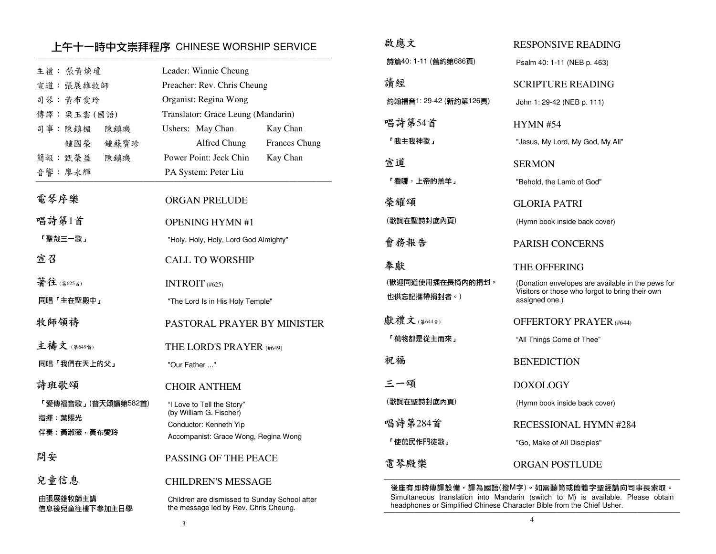### 上午十一時中文崇拜程序 CHINESE WORSHIP SERVICE ─────────────────────────────────────────────────────────────────────────────

|                           |                                                                                        | 詩 扁4         |
|---------------------------|----------------------------------------------------------------------------------------|--------------|
| 主禮: 張黃煥瓊                  | Leader: Winnie Cheung                                                                  |              |
| 宣道:張展雄牧師                  | Preacher: Rev. Chris Cheung                                                            | 請經           |
| 司琴:黄布愛玲                   | Organist: Regina Wong                                                                  | 約翰福          |
| 傳譯:梁玉雲(國語)                | Translator: Grace Leung (Mandarin)                                                     | 唱詩           |
| 司事:陳鎮楣<br>陳鎮璣             | Ushers: May Chan<br>Kay Chan                                                           |              |
| 鍾國榮<br>鍾蘇寶珍               | Frances Chung<br>Alfred Chung                                                          | 「我主          |
| 簡報: 甄榮益<br>陳鎮璣            | Power Point: Jeck Chin<br>Kay Chan                                                     | 宣道           |
| 音響:廖永輝                    | PA System: Peter Liu                                                                   | 「看明          |
|                           |                                                                                        |              |
| 電琴序樂                      | <b>ORGAN PRELUDE</b>                                                                   | 榮耀           |
| 唱詩第1首                     | <b>OPENING HYMN #1</b>                                                                 | (歌詞1         |
| 「聖哉三一歌」                   | "Holy, Holy, Holy, Lord God Almighty"                                                  | 會務           |
| 宣召                        | <b>CALL TO WORSHIP</b>                                                                 | 奉獻           |
| 著往(第625首)                 | INTROIT (#625)                                                                         | (歡迎]         |
|                           |                                                                                        | 也供忘          |
| 同唱「主在聖殿中」                 | "The Lord Is in His Holy Temple"                                                       |              |
| 牧師領禱                      | PASTORAL PRAYER BY MINISTER                                                            | 獻禮           |
| 主禱文 (第649首)               | THE LORD'S PRAYER (#649)                                                               | 「萬物          |
| 同唱「我們在天上的父」               | "Our Father "                                                                          | 祝福           |
| 詩班歌頌                      | <b>CHOIR ANTHEM</b>                                                                    | $=$ $-$      |
| 「愛傳福音歌」(普天頌讚第582首)        | "I Love to Tell the Story"                                                             | (歌詞)         |
| 指揮 葉賜光                    | (by William G. Fischer)                                                                | 唱詩           |
| 伴奏 黃淑薇,黃布愛玲               | Conductor: Kenneth Yip<br>Accompanist: Grace Wong, Regina Wong                         |              |
|                           |                                                                                        | 「使真          |
| 問安                        | PASSING OF THE PEACE                                                                   | 電琴           |
| 兒童信息                      | <b>CHILDREN'S MESSAGE</b>                                                              | 後座           |
| 由張展雄牧師主講<br>信息後兒童往樓下參加主日學 | Children are dismissed to Sunday School after<br>the message led by Rev. Chris Cheung. | Simu<br>heac |
|                           |                                                                                        |              |

| 啟應文                             | <b>RESPONSIVE READING</b>                                                                                              |
|---------------------------------|------------------------------------------------------------------------------------------------------------------------|
| 詩篇40:1-11 (舊約第686頁)             | Psalm 40: 1-11 (NEB p. 463)                                                                                            |
| 請經                              | SCRIPTURE READING                                                                                                      |
| 約翰福音1:29-42 (新約第126頁)           | John 1: 29-42 (NEB p. 111)                                                                                             |
| 唱詩第54首                          | <b>HYMN #54</b>                                                                                                        |
| 「我主我神歌」                         | "Jesus, My Lord, My God, My All"                                                                                       |
| 宣道                              | <b>SERMON</b>                                                                                                          |
| 「看哪,上帝的羔羊」                      | "Behold, the Lamb of God"                                                                                              |
| 榮耀頌                             | <b>GLORIA PATRI</b>                                                                                                    |
| (歌詞在聖詩封底內頁)                     | (Hymn book inside back cover)                                                                                          |
| 會務報告                            | <b>PARISH CONCERNS</b>                                                                                                 |
|                                 |                                                                                                                        |
| 奉獻                              | THE OFFERING                                                                                                           |
| (歡迎同道使用插在長椅內的捐封,<br>也供忘記攜帶捐封者。) | (Donation envelopes are available in the pews for<br>Visitors or those who forgot to bring their own<br>assigned one.) |
| 獻禮文(第644首)                      | <b>OFFERTORY PRAYER (#644)</b>                                                                                         |
| 「萬物都是從主而來」                      | "All Things Come of Thee"                                                                                              |
| 祝福                              | <b>BENEDICTION</b>                                                                                                     |
| 三一頌                             | <b>DOXOLOGY</b>                                                                                                        |
| (歌詞在聖詩封底內頁)                     | (Hymn book inside back cover)                                                                                          |
| 唱詩第284首                         | <b>RECESSIONAL HYMN #284</b>                                                                                           |
| 「使萬民作門徒歌」                       | "Go, Make of All Disciples"                                                                                            |

›座有即時傳譯設備,譯為國語(撥M字)。如需聽筒或簡體字聖經請向司事長索取。 Simultaneous translation into Mandarin (switch to M) is available. Please obtain headphones or Simplified Chinese Character Bible from the Chief Usher.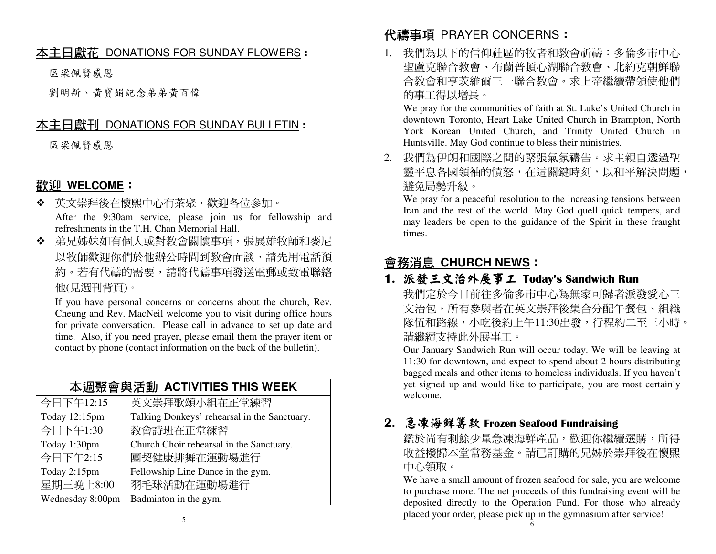## <u>本主日獻花 DONATIONS FOR SUNDAY FLOWERS</u> :<br>.

區梁佩賢感恩

劉明新、黃寶娟記念弟弟黃百偉

## <u>本主日獻刊\_DONATIONS FOR SUNDAY BULLETIN</u> :<br>.

區梁佩賢感恩

## 歡迎 **WELCOME**:

- ❖ 英文崇拜後在懷熙中心有茶聚,歡迎各位參加。 After the 9:30am service, please join us for fellowship and refreshments in the T.H. Chan Memorial Hall.
- $\mathbf{A}$ 弟兄姊妹如有個人或對教會關懷事項,張展雄牧師和麥尼 以牧師歡迎你們於他辦公時間到教會面談,請先用電話預 約。若有代禱的需要,請將代禱事項發送電郵或致電聯絡他(見週刊背頁)。

 If you have personal concerns or concerns about the church, Rev. Cheung and Rev. MacNeil welcome you to visit during office hours for private conversation. Please call in advance to set up date and time. Also, if you need prayer, please email them the prayer item or contact by phone (contact information on the back of the bulletin).

| 本週聚會與活動 ACTIVITIES THIS WEEK |                                              |  |
|------------------------------|----------------------------------------------|--|
| 今日下午12:15                    | 英文崇拜歌頌小組在正堂練習                                |  |
| Today 12:15pm                | Talking Donkeys' rehearsal in the Sanctuary. |  |
| 今日下午1:30                     | 教會詩班在正堂練習                                    |  |
| Today 1:30pm                 | Church Choir rehearsal in the Sanctuary.     |  |
| 今日下午2:15                     | 團契健康排舞在運動場進行                                 |  |
| Today 2:15pm                 | Fellowship Line Dance in the gym.            |  |
| 星期三晚上8:00                    | 羽毛球活動在運動場進行                                  |  |
| Wednesday 8:00pm             | Badminton in the gym.                        |  |

## <u>代禱事項 PRAYER CONCERNS</u> :<br>1 我們为NT的信仰乱原的牧老和

1. 我們為以下的信仰社區的牧者和教會祈禱:多倫多市中心 聖盧克聯合教會、布蘭普頓心湖聯合教會、北約克朝鮮聯 合教會和亨茨維爾三一聯合教會。求上帝繼續帶領使他們的事工得以增長。

 We pray for the communities of faith at St. Luke's United Church in downtown Toronto, Heart Lake United Church in Brampton, North York Korean United Church, and Trinity United Church in Huntsville. May God continue to bless their ministries.

2. 我們為伊朗和國際之間的緊張氣氛禱告。求主親自透過聖靈平息各國領袖的憤怒,在這關鍵時刻,以和平解決問題, 避免局勢升級。

 We pray for a peaceful resolution to the increasing tensions between Iran and the rest of the world. May God quell quick tempers, and may leaders be open to the guidance of the Spirit in these fraught times.

## 會務消息 **CHURCH NEWS**:

### 1. 派發三文治外展事工

派發三文治外展事工 Today's Sandwich Run<br>我們定於今日前往多倫多市中心為無家可歸者派發愛心三 文治包。所有參與者在英文崇拜後集合分配午餐包、組織隊伍和路線,小吃後約上午11:30出發,行程約二至三小時。 請繼續支持此外展事工。

 Our January Sandwich Run will occur today. We will be leaving at 11:30 for downtown, and expect to spend about 2 hours distributing bagged meals and other items to homeless individuals. If you haven't yet signed up and would like to participate, you are most certainly welcome.

## 2. 急凍海鮮籌款 Frozen Seafood Fundraising<br>- 经於尚有剩餘少量刍浦海鲜產品,難知你繼

 鑑於尚有剩餘少量急凍海鮮產品,歡迎你繼續選購,所得 收益撥歸本堂常務基金。請已訂購的兄姊於崇拜後在懷熙中心領取。

 We have a small amount of frozen seafood for sale, you are welcome to purchase more. The net proceeds of this fundraising event will be deposited directly to the Operation Fund. For those who already placed your order, please pick up in the gymnasium after service!